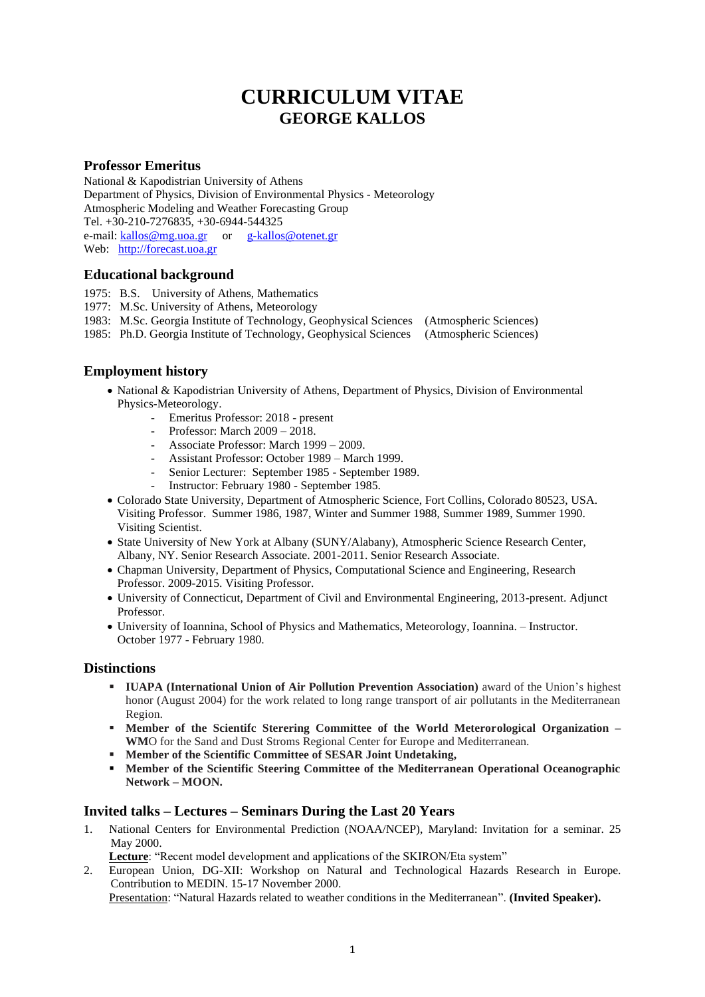# **CURRICULUM VITAE GEORGE KALLOS**

#### **Professor Emeritus**

National & Kapodistrian University of Athens Department of Physics, Division of Environmental Physics - Meteorology Atmospheric Modeling and Weather Forecasting Group Tel. +30-210-7276835, +30-6944-544325 e-mail[: kallos@mg.uoa.gr](mailto:kallos@mg.uoa.gr) or [g-kallos@otenet.gr](mailto:g-kallos@otenet.gr) Web: [http://forecast.uoa.gr](http://forecast.uoa.gr/) 

#### **Educational background**

- 1975: B.S. University of Athens, Mathematics
- 1977: M.Sc. University of Athens, Meteorology
- 1983: M.Sc. Georgia Institute of Technology, Geophysical Sciences (Atmospheric Sciences)
- 1985: Ph.D. Georgia Institute of Technology, Geophysical Sciences (Atmospheric Sciences)

# **Employment history**

- National & Kapodistrian University of Athens, Department of Physics, Division of Environmental Physics-Meteorology.
	- Emeritus Professor: 2018 present
	- Professor: March 2009 2018.
	- Associate Professor: March 1999 2009.
	- Assistant Professor: October 1989 March 1999.
	- Senior Lecturer: September 1985 September 1989.
	- Instructor: February 1980 September 1985.
- Colorado State University, Department of Atmospheric Science, Fort Collins, Colorado 80523, USA. Visiting Professor. Summer 1986, 1987, Winter and Summer 1988, Summer 1989, Summer 1990. Visiting Scientist.
- State University of New York at Albany (SUNY/Alabany), Atmospheric Science Research Center, Albany, NY. Senior Research Associate. 2001-2011. Senior Research Associate.
- Chapman University, Department of Physics, Computational Science and Engineering, Research Professor. 2009-2015. Visiting Professor.
- University of Connecticut, Department of Civil and Environmental Engineering, 2013-present. Adjunct Professor.
- University of Ioannina, School of Physics and Mathematics, Meteorology, Ioannina. Instructor. October 1977 - February 1980.

#### **Distinctions**

- **IUAPA (International Union of Air Pollution Prevention Association)** award of the Union's highest honor (August 2004) for the work related to long range transport of air pollutants in the Mediterranean Region.
- **Member of the Scientifc Sterering Committee of the World Meterorological Organization – WM**O for the Sand and Dust Stroms Regional Center for Europe and Mediterranean.
- **Member of the Scientific Committee of SESAR Joint Undetaking,**
- **Member of the Scientific Steering Committee of the Mediterranean Operational Oceanographic Network – MOON.**

#### **Invited talks – Lectures – Seminars During the Last 20 Years**

1. National Centers for Environmental Prediction (NOAA/NCEP), Maryland: Invitation for a seminar. 25 May 2000.

**Lecture**: "Recent model development and applications of the SKIRON/Eta system"

2. European Union, DG-XII: Workshop on Natural and Technological Hazards Research in Europe. Contribution to MEDIN. 15-17 November 2000.

Presentation: "Natural Hazards related to weather conditions in the Mediterranean". **(Invited Speaker).**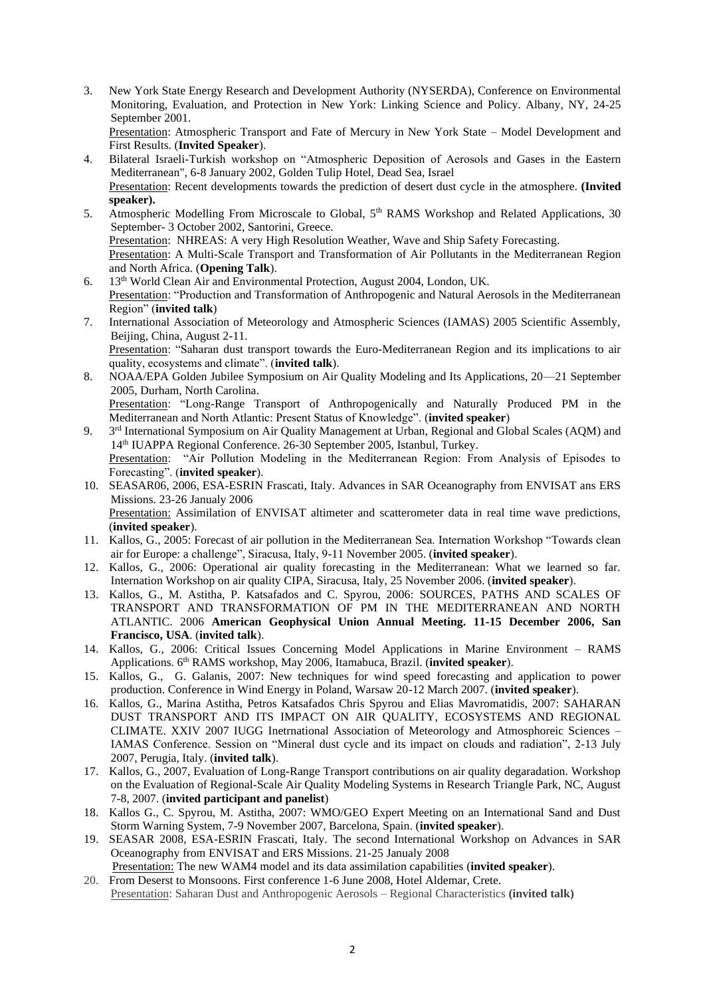3. New York State Energy Research and Development Authority (NYSERDA), Conference on Environmental Monitoring, Evaluation, and Protection in New York: Linking Science and Policy. Albany, NY, 24-25 September 2001.

Presentation: Atmospheric Transport and Fate of Mercury in New York State - Model Development and First Results. (**Invited Speaker**).

- 4. Bilateral Israeli-Turkish workshop on "Atmospheric Deposition of Aerosols and Gases in the Eastern Mediterranean", 6-8 January 2002, Golden Tulip Hotel, Dead Sea, Israel Presentation: Recent developments towards the prediction of desert dust cycle in the atmosphere. **(Invited speaker).**
- 5. Atmospheric Modelling From Microscale to Global, 5<sup>th</sup> RAMS Workshop and Related Applications, 30 September- 3 October 2002, Santorini, Greece. Presentation: NHREAS: A very High Resolution Weather, Wave and Ship Safety Forecasting. Presentation: A Multi-Scale Transport and Transformation of Air Pollutants in the Mediterranean Region and North Africa. (**Opening Talk**).
- 6. 13th World Clean Air and Environmental Protection, August 2004, London, UK. Presentation: "Production and Transformation of Anthropogenic and Natural Aerosols in the Mediterranean Region" (**invited talk**)
- 7. International Association of Meteorology and Atmospheric Sciences (IAMAS) 2005 Scientific Assembly, Beijing, China, August 2-11. Presentation: "Saharan dust transport towards the Euro-Mediterranean Region and its implications to air quality, ecosystems and climate". (**invited talk**).
- 8. NOAA/EPA Golden Jubilee Symposium on Air Quality Modeling and Its Applications, 20—21 September 2005, Durham, North Carolina. Presentation: "Long-Range Transport of Anthropogenically and Naturally Produced PM in the Mediterranean and North Atlantic: Present Status of Knowledge". (**invited speaker**)
- 9. 3<sup>rd</sup> International Symposium on Air Quality Management at Urban, Regional and Global Scales (AQM) and 14th IUAPPA Regional Conference. 26-30 September 2005, Istanbul, Turkey. Presentation: "Air Pollution Modeling in the Mediterranean Region: From Analysis of Episodes to Forecasting". (**invited speaker**).
- 10. SEASAR06, 2006, ESA-ESRIN Frascati, Italy. Advances in SAR Oceanography from ENVISAT ans ERS Missions. 23-26 Janualy 2006 Presentation: Assimilation of ENVISAT altimeter and scatterometer data in real time wave predictions, (**invited speaker**).
- 11. Kallos, G., 2005: Forecast of air pollution in the Mediterranean Sea. Internation Workshop "Towards clean air for Europe: a challenge", Siracusa, Italy, 9-11 November 2005. (**invited speaker**).
- 12. Kallos, G., 2006: Operational air quality forecasting in the Mediterranean: What we learned so far. Internation Workshop on air quality CIPA, Siracusa, Italy, 25 November 2006. (**invited speaker**).
- 13. Kallos, G., M. Astitha, P. Katsafados and C. Spyrou, 2006: SOURCES, PATHS AND SCALES OF TRANSPORT AND TRANSFORMATION OF PM IN THE MEDITERRANEAN AND NORTH ATLANTIC. 2006 **American Geophysical Union Annual Meeting. 11-15 December 2006, San Francisco, USA**. (**invited talk**).
- 14. Kallos, G., 2006: Critical Issues Concerning Model Applications in Marine Environment RAMS Applications. 6th RAMS workshop, May 2006, Itamabuca, Brazil. (**invited speaker**).
- 15. Kallos, G., G. Galanis, 2007: New techniques for wind speed forecasting and application to power production. Conference in Wind Energy in Poland, Warsaw 20-12 March 2007. (**invited speaker**).
- 16. Kallos, G., Marina Astitha, Petros Katsafados Chris Spyrou and Elias Mavromatidis, 2007: SAHARAN DUST TRANSPORT AND ITS IMPACT ON AIR QUALITY, ECOSYSTEMS AND REGIONAL CLIMATE. XXIV 2007 IUGG Inetrnational Association of Meteorology and Atmosphoreic Sciences – IAMAS Conference. Session on "Mineral dust cycle and its impact on clouds and radiation", 2-13 July 2007, Perugia, Italy. (**invited talk**).
- 17. Kallos, G., 2007, Evaluation of Long-Range Transport contributions on air quality degaradation. Workshop on the Evaluation of Regional-Scale Air Quality Modeling Systems in Research Triangle Park, NC, August 7-8, 2007. (**invited participant and panelist**)
- 18. Kallos G., C. Spyrou, M. Astitha, 2007: WMO/GEO Expert Meeting on an International Sand and Dust Storm Warning System, 7-9 November 2007, Barcelona, Spain. (**invited speaker**).
- 19. SEASAR 2008, ESA-ESRIN Frascati, Italy. The second International Workshop on Advances in SAR Oceanography from ENVISAT and ERS Missions. 21-25 Janualy 2008 Presentation: The new WAM4 model and its data assimilation capabilities (**invited speaker**).
- 20. From Deserst to Monsoons. First conference 1-6 June 2008, Hotel Aldemar, Crete. Presentation: Saharan Dust and Anthropogenic Aerosols – Regional Characteristics **(invited talk)**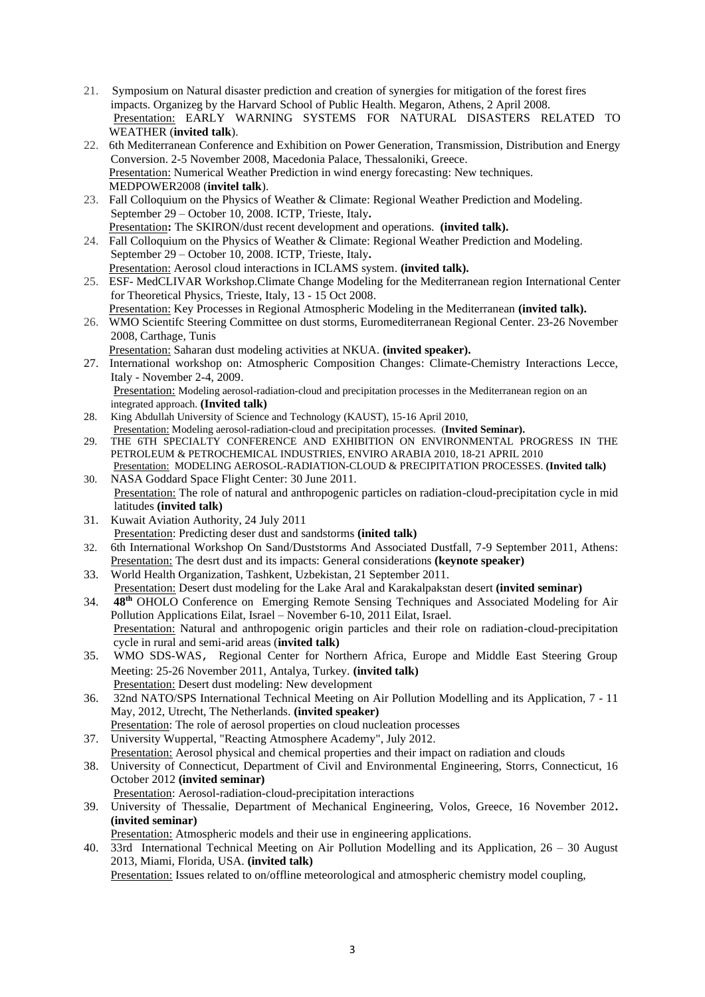- 21. Symposium on Natural disaster prediction and creation of synergies for mitigation of the forest fires impacts. Organizeg by the Harvard School of Public Health. Megaron, Athens, 2 April 2008. Presentation: EARLY WARNING SYSTEMS FOR NATURAL DISASTERS RELATED TO WEATHER (**invited talk**).
- 22. 6th Mediterranean Conference and Exhibition on Power Generation, Transmission, Distribution and Energy Conversion. 2-5 November 2008, Macedonia Palace, Thessaloniki, Greece. Presentation: Numerical Weather Prediction in wind energy forecasting: New techniques. MEDPOWER2008 (**invitel talk**).
- 23. Fall Colloquium on the Physics of Weather & Climate: Regional Weather Prediction and Modeling. September 29 – October 10, 2008. ICTP, Trieste, Italy**.**  Presentation**:** The SKIRON/dust recent development and operations. **(invited talk).**
- 24. Fall Colloquium on the Physics of Weather & Climate: Regional Weather Prediction and Modeling. September 29 – October 10, 2008. ICTP, Trieste, Italy**.**  Presentation: Aerosol cloud interactions in ICLAMS system. **(invited talk).**
- 25. ESF- MedCLIVAR Workshop.Climate Change Modeling for the Mediterranean region International Center for Theoretical Physics, Trieste, Italy, 13 - 15 Oct 2008.
- Presentation: Key Processes in Regional Atmospheric Modeling in the Mediterranean **(invited talk).** 26. WMO Scientifc Steering Committee on dust storms, Euromediterranean Regional Center. 23-26 November 2008, Carthage, Tunis Presentation: Saharan dust modeling activities at NKUA. **(invited speaker).**
- 27. International workshop on: Atmospheric Composition Changes: Climate-Chemistry Interactions Lecce, Italy - November 2-4, 2009. Presentation: Modeling aerosol-radiation-cloud and precipitation processes in the Mediterranean region on an integrated approach. **(Invited talk)**
- 28. King Abdullah University of Science and Technology (KAUST), 15-16 April 2010,
- Presentation: Modeling aerosol-radiation-cloud and precipitation processes. (**Invited Seminar).** 29. THE 6TH SPECIALTY CONFERENCE AND EXHIBITION ON ENVIRONMENTAL PROGRESS IN THE PETROLEUM & PETROCHEMICAL INDUSTRIES, ENVIRO ARABIA 2010, 18-21 APRIL 2010
- Presentation: MODELING AEROSOL-RADIATION-CLOUD & PRECIPITATION PROCESSES. **(Invited talk)** 30. NASA Goddard Space Flight Center: 30 June 2011.
- Presentation: The role of natural and anthropogenic particles on radiation-cloud-precipitation cycle in mid latitudes **(invited talk)**
- 31. Kuwait Aviation Authority, 24 July 2011 Presentation: Predicting deser dust and sandstorms **(inited talk)**
- 32. 6th International Workshop On Sand/Duststorms And Associated Dustfall, 7-9 September 2011, Athens: Presentation: The desrt dust and its impacts: General considerations **(keynote speaker)**
- 33. World Health Organization, Tashkent, Uzbekistan, 21 September 2011.
- Presentation: Desert dust modeling for the Lake Aral and Karakalpakstan desert **(invited seminar)** 34. **48th** OHOLO Conference on Emerging Remote Sensing Techniques and Associated Modeling for Air Pollution Applications Eilat, Israel – November 6-10, 2011 Eilat, Israel. Presentation: Natural and anthropogenic origin particles and their role on radiation-cloud-precipitation cycle in rural and semi-arid areas (**invited talk)**
- 35. WMO SDS-WAS, Regional Center for Northern Africa, Europe and Middle East Steering Group Meeting: 25-26 November 2011, Antalya, Turkey. **(invited talk)** Presentation: Desert dust modeling: New development
- 36. 32nd NATO/SPS International Technical Meeting on Air Pollution Modelling and its Application, 7 11 May, 2012, Utrecht, The Netherlands. **(invited speaker)**
- Presentation: The role of aerosol properties on cloud nucleation processes 37. University Wuppertal, "Reacting Atmosphere Academy", July 2012.
- Presentation: Aerosol physical and chemical properties and their impact on radiation and clouds
- 38. University of Connecticut, Department of Civil and Environmental Engineering, Storrs, Connecticut, 16 October 2012 **(invited seminar)**
	- Presentation: Aerosol-radiation-cloud-precipitation interactions
- 39. University of Thessalie, Department of Mechanical Engineering, Volos, Greece, 16 November 2012**. (invited seminar)** 
	- Presentation: Atmospheric models and their use in engineering applications.
- 40. 33rd International Technical Meeting on Air Pollution Modelling and its Application, 26 30 August 2013, Miami, Florida, USA. **(invited talk)**

Presentation: Issues related to on/offline meteorological and atmospheric chemistry model coupling,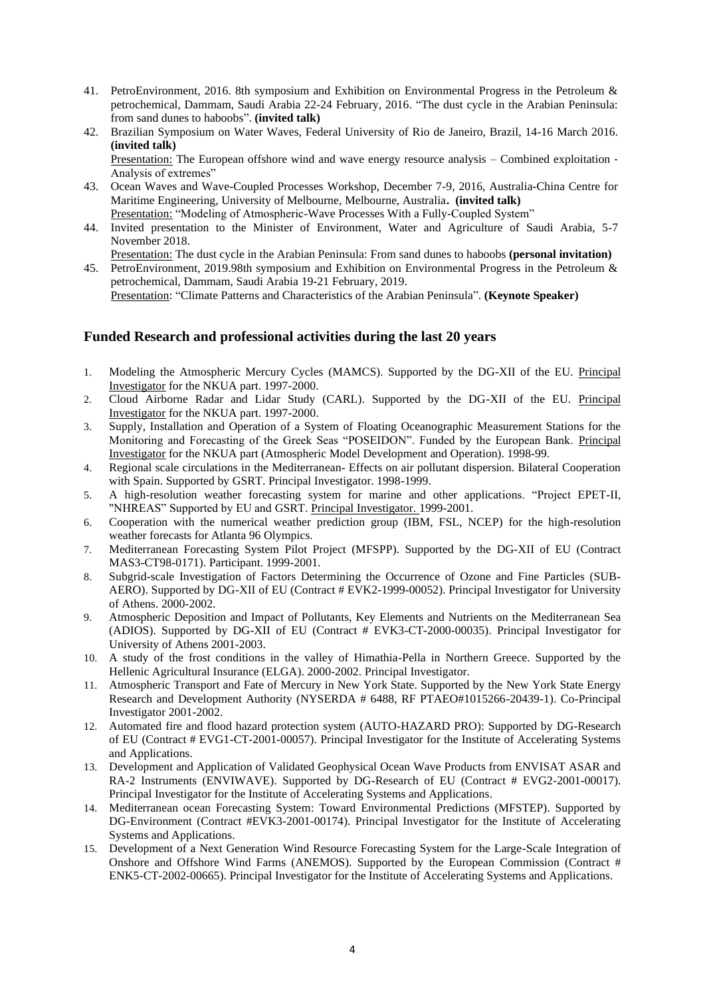- 41. PetroEnvironment, 2016. 8th symposium and Exhibition on Environmental Progress in the Petroleum & petrochemical, Dammam, Saudi Arabia 22-24 February, 2016. "The dust cycle in the Arabian Peninsula: from sand dunes to haboobs". **(invited talk)**
- 42. Brazilian Symposium on Water Waves, Federal University of Rio de Janeiro, Brazil, 14-16 March 2016. **(invited talk)**

Presentation: The European offshore wind and wave energy resource analysis – Combined exploitation ‐ Analysis of extremes"

- 43. Ocean Waves and Wave-Coupled Processes Workshop, December 7-9, 2016, Australia-China Centre for Maritime Engineering, University of Melbourne, Melbourne, Australia**. (invited talk)** Presentation: "Modeling of Atmospheric-Wave Processes With a Fully-Coupled System"
- 44. Invited presentation to the Minister of Environment, Water and Agriculture of Saudi Arabia, 5-7 November 2018.

Presentation: The dust cycle in the Arabian Peninsula: From sand dunes to haboobs **(personal invitation)**

45. PetroEnvironment, 2019.98th symposium and Exhibition on Environmental Progress in the Petroleum & petrochemical, Dammam, Saudi Arabia 19-21 February, 2019.

Presentation: "Climate Patterns and Characteristics of the Arabian Peninsula". **(Keynote Speaker)**

# **Funded Research and professional activities during the last 20 years**

- 1. Modeling the Atmospheric Mercury Cycles (MAMCS). Supported by the DG-XII of the EU. Principal Investigator for the NKUA part. 1997-2000.
- 2. Cloud Airborne Radar and Lidar Study (CARL). Supported by the DG-XII of the EU. Principal Investigator for the NKUA part. 1997-2000.
- 3. Supply, Installation and Operation of a System of Floating Oceanographic Measurement Stations for the Monitoring and Forecasting of the Greek Seas "POSEIDON". Funded by the European Bank. Principal Investigator for the NKUA part (Atmospheric Model Development and Operation). 1998-99.
- 4. Regional scale circulations in the Mediterranean- Effects on air pollutant dispersion. Bilateral Cooperation with Spain. Supported by GSRT. Principal Investigator. 1998-1999.
- 5. A high-resolution weather forecasting system for marine and other applications. "Project EPET-II, "NHREAS" Supported by EU and GSRT. Principal Investigator. 1999-2001.
- 6. Cooperation with the numerical weather prediction group (IBM, FSL, NCEP) for the high-resolution weather forecasts for Atlanta 96 Olympics.
- 7. Mediterranean Forecasting System Pilot Project (MFSPP). Supported by the DG-XII of EU (Contract MAS3-CT98-0171). Participant. 1999-2001.
- 8. Subgrid-scale Investigation of Factors Determining the Occurrence of Ozone and Fine Particles (SUB-AERO). Supported by DG-XII of EU (Contract # EVK2-1999-00052). Principal Investigator for University of Athens. 2000-2002.
- 9. Atmospheric Deposition and Impact of Pollutants, Key Elements and Nutrients on the Mediterranean Sea (ADIOS). Supported by DG-XII of EU (Contract # EVK3-CT-2000-00035). Principal Investigator for University of Athens 2001-2003.
- 10. A study of the frost conditions in the valley of Himathia-Pella in Northern Greece. Supported by the Hellenic Agricultural Insurance (ELGA). 2000-2002. Principal Investigator.
- 11. Atmospheric Transport and Fate of Mercury in New York State. Supported by the New York State Energy Research and Development Authority (NYSERDA # 6488, RF PTAEO#1015266-20439-1). Co-Principal Investigator 2001-2002.
- 12. Automated fire and flood hazard protection system (AUTO-HAZARD PRO): Supported by DG-Research of EU (Contract # EVG1-CT-2001-00057). Principal Investigator for the Institute of Accelerating Systems and Applications.
- 13. Development and Application of Validated Geophysical Ocean Wave Products from ENVISAT ASAR and RA-2 Instruments (ENVIWAVE). Supported by DG-Research of EU (Contract # EVG2-2001-00017). Principal Investigator for the Institute of Accelerating Systems and Applications.
- 14. Mediterranean ocean Forecasting System: Toward Environmental Predictions (MFSTEP). Supported by DG-Environment (Contract #EVK3-2001-00174). Principal Investigator for the Institute of Accelerating Systems and Applications.
- 15. Development of a Next Generation Wind Resource Forecasting System for the Large-Scale Integration of Onshore and Offshore Wind Farms (ANEMOS). Supported by the European Commission (Contract # ENK5-CT-2002-00665). Principal Investigator for the Institute of Accelerating Systems and Applications.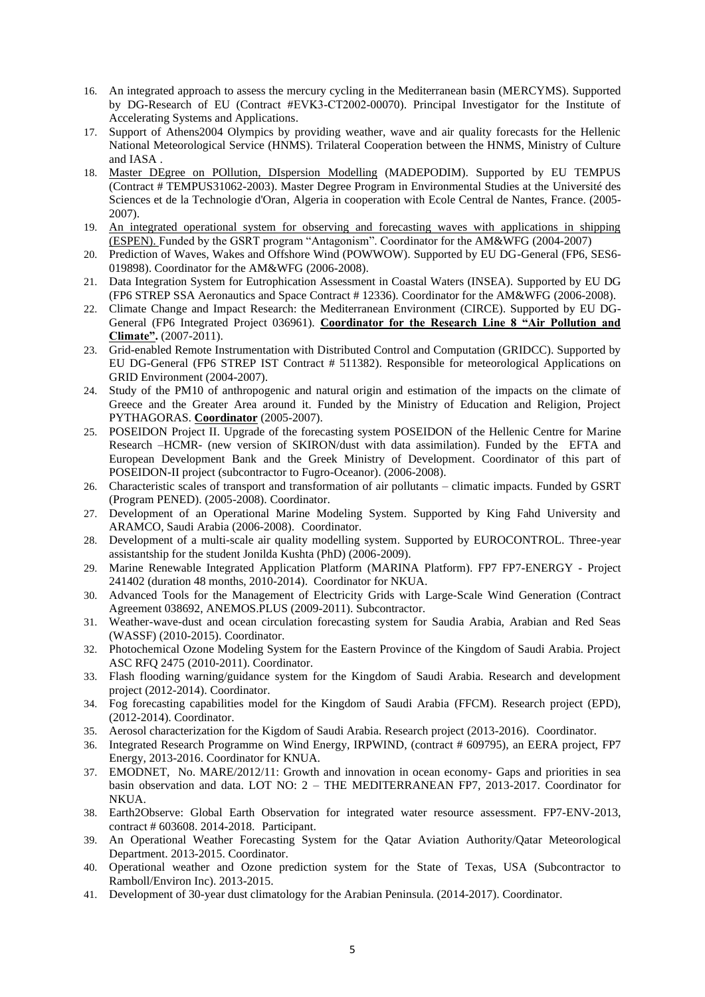- 16. An integrated approach to assess the mercury cycling in the Mediterranean basin (MERCYMS). Supported by DG-Research of EU (Contract #ΕVΚ3-CΤ2002-00070). Principal Investigator for the Institute of Accelerating Systems and Applications.
- 17. Support of Athens2004 Olympics by providing weather, wave and air quality forecasts for the Hellenic National Meteorological Service (HNMS). Trilateral Cooperation between the HNMS, Ministry of Culture and IASA .
- 18. Master DEgree on POllution, DIspersion Modelling (MADEPODIM). Supported by EU TEMPUS (Contract # TEMPUS31062-2003). Master Degree Program in Environmental Studies at the Université des Sciences et de la Technologie d'Oran, Algeria in cooperation with Ecole Central de Nantes, France. (2005- 2007).
- 19. An integrated operational system for observing and forecasting waves with applications in shipping (ESPEN). Funded by the GSRT program "Antagonism". Coordinator for the AM&WFG (2004-2007)
- 20. Prediction of Waves, Wakes and Offshore Wind (POWWOW). Supported by EU DG-General (FP6, SES6- 019898). Coordinator for the AM&WFG (2006-2008).
- 21. Data Integration System for Eutrophication Assessment in Coastal Waters (INSEA). Supported by EU DG (FP6 STREP SSA Aeronautics and Space Contract # 12336). Coordinator for the AM&WFG (2006-2008).
- 22. Climate Change and Impact Research: the Mediterranean Environment (CIRCE). Supported by EU DG-General (FP6 Integrated Project 036961). **Coordinator for the Research Line 8 "Air Pollution and Climate".** (2007-2011).
- 23. Grid-enabled Remote Instrumentation with Distributed Control and Computation (GRIDCC). Supported by EU DG-General (FP6 STREP IST Contract # 511382). Responsible for meteorological Applications on GRID Environment (2004-2007).
- 24. Study of the PM10 of anthropogenic and natural origin and estimation of the impacts on the climate of Greece and the Greater Area around it. Funded by the Ministry of Education and Religion, Project PYTHAGORAS. **Coordinator** (2005-2007).
- 25. POSEIDON Project II. Upgrade of the forecasting system POSEIDON of the Hellenic Centre for Marine Research –HCMR- (new version of SKIRON/dust with data assimilation). Funded by the EFTA and European Development Bank and the Greek Ministry of Development. Coordinator of this part of POSEIDON-II project (subcontractor to Fugro-Oceanor). (2006-2008).
- 26. Characteristic scales of transport and transformation of air pollutants climatic impacts. Funded by GSRT (Program PENED). (2005-2008). Coordinator.
- 27. Development of an Operational Marine Modeling System. Supported by King Fahd University and ARAMCO, Saudi Arabia (2006-2008). Coordinator.
- 28. Development of a multi-scale air quality modelling system. Supported by EUROCONTROL. Three-year assistantship for the student Jonilda Kushta (PhD) (2006-2009).
- 29. Marine Renewable Integrated Application Platform (MARINA Platform). FP7 FP7-ENERGY Project 241402 (duration 48 months, 2010-2014). Coordinator for NKUA.
- 30. Advanced Tools for the Management of Electricity Grids with Large-Scale Wind Generation (Contract Agreement 038692, ANEMOS.PLUS (2009-2011). Subcontractor.
- 31. Weather-wave-dust and ocean circulation forecasting system for Saudia Arabia, Arabian and Red Seas (WASSF) (2010-2015). Coordinator.
- 32. Photochemical Ozone Modeling System for the Eastern Province of the Kingdom of Saudi Arabia. Project ASC RFQ 2475 (2010-2011). Coordinator.
- 33. Flash flooding warning/guidance system for the Kingdom of Saudi Arabia. Research and development project (2012-2014). Coordinator.
- 34. Fog forecasting capabilities model for the Kingdom of Saudi Arabia (FFCM). Research project (EPD), (2012-2014). Coordinator.
- 35. Aerosol characterization for the Kigdom of Saudi Arabia. Research project (2013-2016). Coordinator.
- 36. Integrated Research Programme on Wind Energy, IRPWIND, (contract # 609795), an EERA project, FP7 Energy, 2013-2016. Coordinator for KNUA.
- 37. EMODNET, No. MARE/2012/11: Growth and innovation in ocean economy- Gaps and priorities in sea basin observation and data. LOT NO: 2 – THE MEDITERRANEAN FP7, 2013-2017. Coordinator for NKUA.
- 38. Earth2Observe: Global Earth Observation for integrated water resource assessment. FP7-ENV-2013, contract # 603608. 2014-2018. Participant.
- 39. An Operational Weather Forecasting System for the Qatar Aviation Authority/Qatar Meteorological Department. 2013-2015. Coordinator.
- 40. Operational weather and Ozone prediction system for the State of Texas, USA (Subcontractor to Ramboll/Environ Inc). 2013-2015.
- 41. Development of 30-year dust climatology for the Arabian Peninsula. (2014-2017). Coordinator.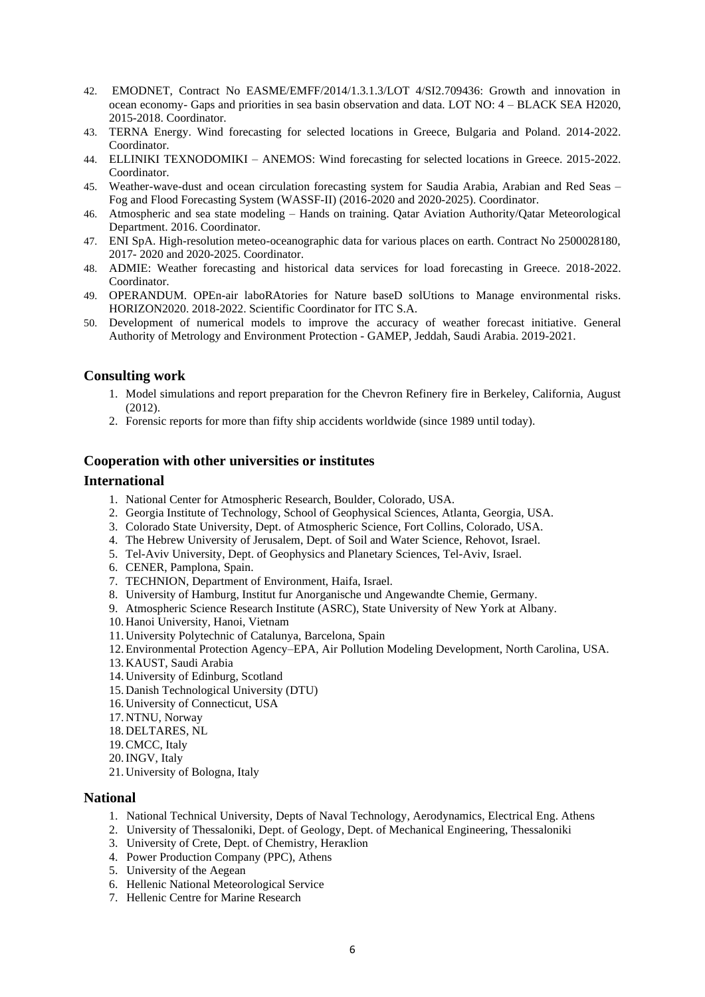- 42. EMODNET, Contract No EASME/EMFF/2014/1.3.1.3/LOT 4/SI2.709436: Growth and innovation in ocean economy- Gaps and priorities in sea basin observation and data. LOT NO: 4 – BLACK SEA H2020, 2015-2018. Coordinator.
- 43. TERNA Energy. Wind forecasting for selected locations in Greece, Bulgaria and Poland. 2014-2022. Coordinator.
- 44. ELLINIKI TEXNODOMIKI ANEMOS: Wind forecasting for selected locations in Greece. 2015-2022. Coordinator.
- 45. Weather-wave-dust and ocean circulation forecasting system for Saudia Arabia, Arabian and Red Seas Fog and Flood Forecasting System (WASSF-II) (2016-2020 and 2020-2025). Coordinator.
- 46. Atmospheric and sea state modeling Hands on training. Qatar Aviation Authority/Qatar Meteorological Department. 2016. Coordinator.
- 47. ENI SpA. High-resolution meteo-oceanographic data for various places on earth. Contract No 2500028180, 2017- 2020 and 2020-2025. Coordinator.
- 48. ADMIE: Weather forecasting and historical data services for load forecasting in Greece. 2018-2022. Coordinator.
- 49. OPERANDUM. OPEn-air laboRAtories for Nature baseD solUtions to Manage environmental risks. HORIZON2020. 2018-2022. Scientific Coordinator for ITC S.A.
- 50. Development of numerical models to improve the accuracy of weather forecast initiative. General Authority of Metrology and Environment Protection - GAMEP, Jeddah, Saudi Arabia. 2019-2021.

#### **Consulting work**

- 1. Model simulations and report preparation for the Chevron Refinery fire in Berkeley, California, August (2012).
- 2. Forensic reports for more than fifty ship accidents worldwide (since 1989 until today).

#### **Cooperation with other universities or institutes**

#### **International**

- 1. National Center for Atmospheric Research, Boulder, Colorado, USA.
- 2. Georgia Institute of Technology, School of Geophysical Sciences, Atlanta, Georgia, USA.
- 3. Colorado State University, Dept. of Atmospheric Science, Fort Collins, Colorado, USA.
- 4. The Hebrew University of Jerusalem, Dept. of Soil and Water Science, Rehovot, Israel.
- 5. Tel-Aviv University, Dept. of Geophysics and Planetary Sciences, Tel-Aviv, Israel.
- 6. CENER, Pamplona, Spain.
- 7. TECHNION, Department of Environment, Haifa, Israel.
- 8. University of Hamburg, Institut fur Anorganische und Angewandte Chemie, Germany.
- 9. Atmospheric Science Research Institute (ASRC), State University of New York at Albany.
- 10. Hanoi University, Hanoi, Vietnam
- 11. University Polytechnic of Catalunya, Barcelona, Spain
- 12.Environmental Protection Agency–EPA, Air Pollution Modeling Development, North Carolina, USA.
- 13. KAUST, Saudi Arabia
- 14. University of Edinburg, Scotland
- 15. Danish Technological University (DTU)
- 16. University of Connecticut, USA
- 17. NTNU, Norway
- 18. DELTARES, NL
- 19.CMCC, Italy
- 20.INGV, Italy
- 21. University of Bologna, Italy

#### **National**

- 1. National Technical University, Depts of Naval Technology, Aerodynamics, Electrical Eng. Athens
- 2. University of Thessaloniki, Dept. of Geology, Dept. of Mechanical Engineering, Thessaloniki
- 3. University of Crete, Dept. of Chemistry, Heraκlion
- 4. Power Production Company (PPC), Athens
- 5. University of the Aegean
- 6. Hellenic National Meteorological Service
- 7. Hellenic Centre for Marine Research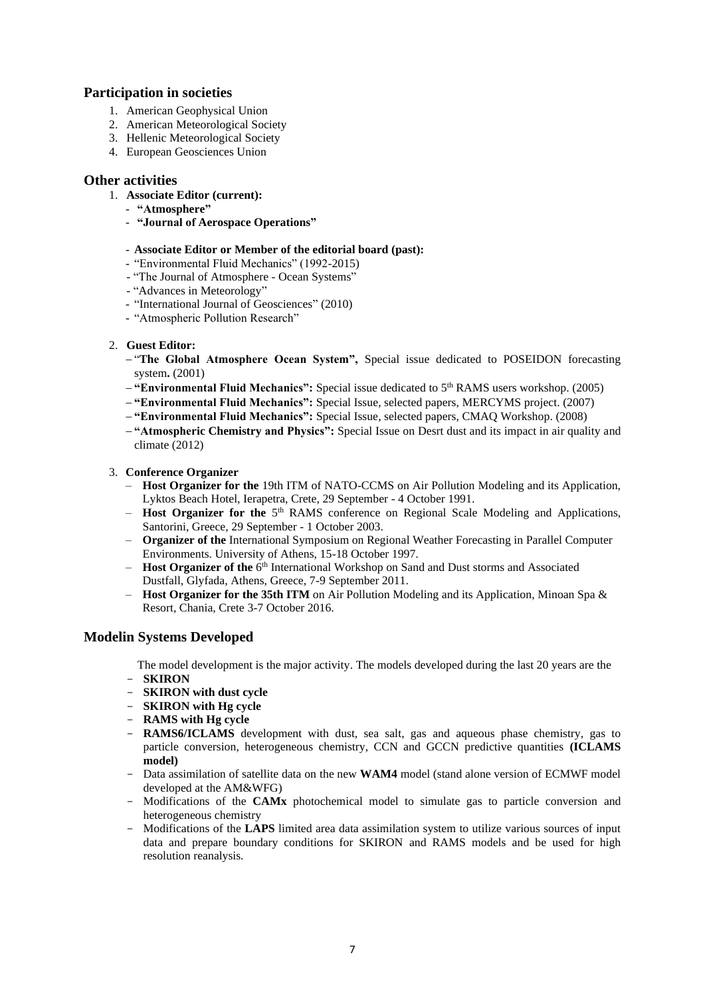# **Participation in societies**

- 1. American Geophysical Union
- 2. American Meteorological Society
- 3. Hellenic Meteorological Society
- 4. European Geosciences Union

#### **Other activities**

- 1. **Associate Editor (current):**
	- **"Atmosphere"**
	- **"Journal of Aerospace Operations"**

#### - **Associate Editor or Member of the editorial board (past):**

- "Environmental Fluid Mechanics" (1992-2015)
- "The Journal of Atmosphere Ocean Systems"
- "Advances in Meteorology"
- "International Journal of Geosciences" (2010)
- "Atmospheric Pollution Research"

#### 2. **Guest Editor:**

- − "**The Global Atmosphere Ocean System",** Special issue dedicated to POSEIDON forecasting system**.** (2001)
- − **"Environmental Fluid Mechanics":** Special issue dedicated to 5th RAMS users workshop. (2005)
- − **"Environmental Fluid Mechanics":** Special Issue, selected papers, MERCYMS project. (2007)
- − **"Environmental Fluid Mechanics":** Special Issue, selected papers, CMAQ Workshop. (2008)
- − **"Atmospheric Chemistry and Physics":** Special Issue on Desrt dust and its impact in air quality and climate (2012)

#### 3. **Conference Organizer**

- **Host Organizer for the** 19th ITM of NATO-CCMS on Air Pollution Modeling and its Application, Lyktos Beach Hotel, Ierapetra, Crete, 29 September - 4 October 1991.
- **Host Organizer for the** 5<sup>th</sup> RAMS conference on Regional Scale Modeling and Applications, Santorini, Greece, 29 September - 1 October 2003.
- **Organizer of the** International Symposium on Regional Weather Forecasting in Parallel Computer Environments. University of Athens, 15-18 October 1997.
- Host Organizer of the 6<sup>th</sup> International Workshop on Sand and Dust storms and Associated Dustfall, Glyfada, Athens, Greece, 7-9 September 2011.
- **Host Organizer for the 35th ITM** on Air Pollution Modeling and its Application, Minoan Spa & Resort, Chania, Crete 3-7 October 2016.

# **Modelin Systems Developed**

- The model development is the major activity. The models developed during the last 20 years are the - **SKIRON**
- **SKIRON with dust cycle**
- **SKIRON with Hg cycle**
- **RAMS with Hg cycle**
- **RAMS6/ICLAMS** development with dust, sea salt, gas and aqueous phase chemistry, gas to particle conversion, heterogeneous chemistry, CCN and GCCN predictive quantities **(ICLAMS model)**
- Data assimilation of satellite data on the new **WAM4** model (stand alone version of ECMWF model developed at the AM&WFG)
- Modifications of the **CAMx** photochemical model to simulate gas to particle conversion and heterogeneous chemistry
- Modifications of the **LAPS** limited area data assimilation system to utilize various sources of input data and prepare boundary conditions for SKIRON and RAMS models and be used for high resolution reanalysis.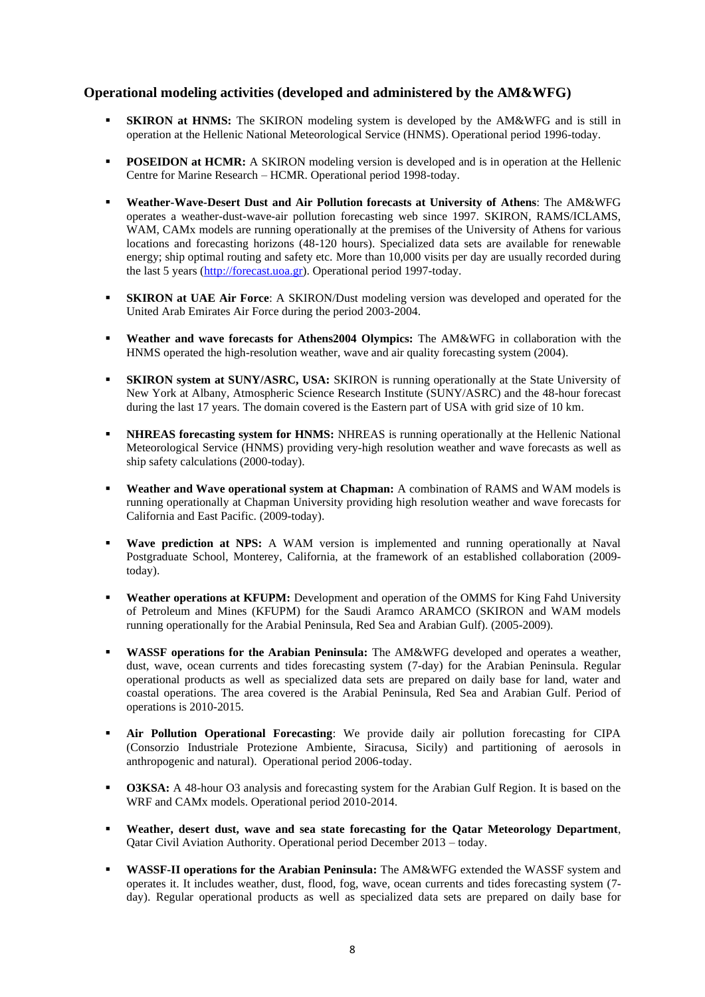# **Operational modeling activities (developed and administered by the AM&WFG)**

- **SKIRON at HNMS:** The SKIRON modeling system is developed by the AM&WFG and is still in operation at the Hellenic National Meteorological Service (HNMS). Operational period 1996-today.
- **POSEIDON at HCMR:** A SKIRON modeling version is developed and is in operation at the Hellenic Centre for Marine Research – HCMR. Operational period 1998-today.
- **Weather-Wave-Desert Dust and Air Pollution forecasts at University of Athens**: The AM&WFG operates a weather-dust-wave-air pollution forecasting web since 1997. SKIRON, RAMS/ICLAMS, WAM, CAMx models are running operationally at the premises of the University of Athens for various locations and forecasting horizons (48-120 hours). Specialized data sets are available for renewable energy; ship optimal routing and safety etc. More than 10,000 visits per day are usually recorded during the last 5 years [\(http://forecast.uoa.gr\)](http://forecast.uoa.gr/). Operational period 1997-today.
- **EXIRON at UAE Air Force:** A SKIRON/Dust modeling version was developed and operated for the United Arab Emirates Air Force during the period 2003-2004.
- **Weather and wave forecasts for Athens2004 Olympics:** The AM&WFG in collaboration with the HNMS operated the high-resolution weather, wave and air quality forecasting system (2004).
- **SKIRON system at SUNY/ASRC, USA:** SKIRON is running operationally at the State University of New York at Albany, Atmospheric Science Research Institute (SUNY/ASRC) and the 48-hour forecast during the last 17 years. The domain covered is the Eastern part of USA with grid size of 10 km.
- **NHREAS forecasting system for HNMS:** NHREAS is running operationally at the Hellenic National Meteorological Service (HNMS) providing very-high resolution weather and wave forecasts as well as ship safety calculations (2000-today).
- **Weather and Wave operational system at Chapman:** A combination of RAMS and WAM models is running operationally at Chapman University providing high resolution weather and wave forecasts for California and East Pacific. (2009-today).
- Wave prediction at NPS: A WAM version is implemented and running operationally at Naval Postgraduate School, Monterey, California, at the framework of an established collaboration (2009 today).
- **Weather operations at KFUPM:** Development and operation of the OMMS for King Fahd University of Petroleum and Mines (KFUPM) for the Saudi Aramco ARAMCO (SKIRON and WAM models running operationally for the Arabial Peninsula, Red Sea and Arabian Gulf). (2005-2009).
- **WASSF operations for the Arabian Peninsula:** The AM&WFG developed and operates a weather, dust, wave, ocean currents and tides forecasting system (7-day) for the Arabian Peninsula. Regular operational products as well as specialized data sets are prepared on daily base for land, water and coastal operations. The area covered is the Arabial Peninsula, Red Sea and Arabian Gulf. Period of operations is 2010-2015.
- **EXECUTE:** Air Pollution Operational Forecasting: We provide daily air pollution forecasting for CIPA (Consorzio Industriale Protezione Ambiente, Siracusa, Sicily) and partitioning of aerosols in anthropogenic and natural). Operational period 2006-today.
- **O3KSA:** A 48-hour O3 analysis and forecasting system for the Arabian Gulf Region. It is based on the WRF and CAMx models. Operational period 2010-2014.
- Weather, desert dust, wave and sea state forecasting for the Qatar Meteorology Department, Qatar Civil Aviation Authority. Operational period December 2013 – today.
- **WASSF-II operations for the Arabian Peninsula:** The AM&WFG extended the WASSF system and operates it. It includes weather, dust, flood, fog, wave, ocean currents and tides forecasting system (7 day). Regular operational products as well as specialized data sets are prepared on daily base for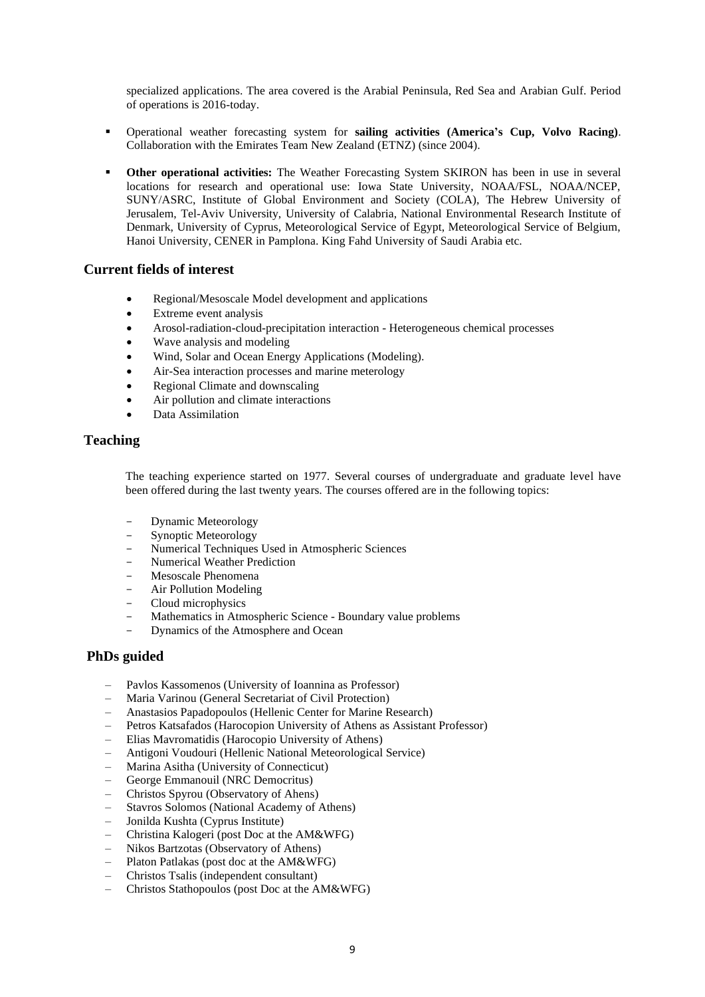specialized applications. The area covered is the Arabial Peninsula, Red Sea and Arabian Gulf. Period of operations is 2016-today.

- Operational weather forecasting system for **sailing activities (America's Cup, Volvo Racing)**. Collaboration with the Emirates Team New Zealand (ETNZ) (since 2004).
- **Other operational activities:** The Weather Forecasting System SKIRON has been in use in several locations for research and operational use: Iowa State University, NOAA/FSL, NOAA/NCEP, SUNY/ASRC, Institute of Global Environment and Society (COLA), The Hebrew University of Jerusalem, Tel-Aviv University, University of Calabria, National Environmental Research Institute of Denmark, University of Cyprus, Meteorological Service of Egypt, Meteorological Service of Belgium, Hanoi University, CENER in Pamplona. King Fahd University of Saudi Arabia etc.

#### **Current fields of interest**

- Regional/Mesoscale Model development and applications
- Extreme event analysis
- Arosol-radiation-cloud-precipitation interaction Heterogeneous chemical processes
- Wave analysis and modeling
- Wind, Solar and Ocean Energy Applications (Modeling).
- Air-Sea interaction processes and marine meterology
- Regional Climate and downscaling
- Air pollution and climate interactions
- Data Assimilation

#### **Teaching**

The teaching experience started on 1977. Several courses of undergraduate and graduate level have been offered during the last twenty years. The courses offered are in the following topics:

- Dynamic Meteorology
- Synoptic Meteorology
- Numerical Techniques Used in Atmospheric Sciences
- Numerical Weather Prediction
- Mesoscale Phenomena
- Air Pollution Modeling
- Cloud microphysics
- Mathematics in Atmospheric Science Boundary value problems
- Dynamics of the Atmosphere and Ocean

#### **PhDs guided**

- Pavlos Kassomenos (University of Ioannina as Professor)
- Maria Varinou (General Secretariat of Civil Protection)
- Anastasios Papadopoulos (Hellenic Center for Marine Research)
- Petros Katsafados (Harocopion University of Athens as Assistant Professor)
- Elias Mavromatidis (Harocopio University of Athens)
- Antigoni Voudouri (Hellenic National Meteorological Service)
- Marina Asitha (University of Connecticut)
- George Emmanouil (NRC Democritus)
- Christos Spyrou (Observatory of Ahens)
- Stavros Solomos (National Academy of Athens)
- Jonilda Kushta (Cyprus Institute)
- Christina Kalogeri (post Doc at the AM&WFG)
- Nikos Bartzotas (Observatory of Athens)
- Platon Patlakas (post doc at the AM&WFG)
- Christos Tsalis (independent consultant)
- Christos Stathopoulos (post Doc at the AM&WFG)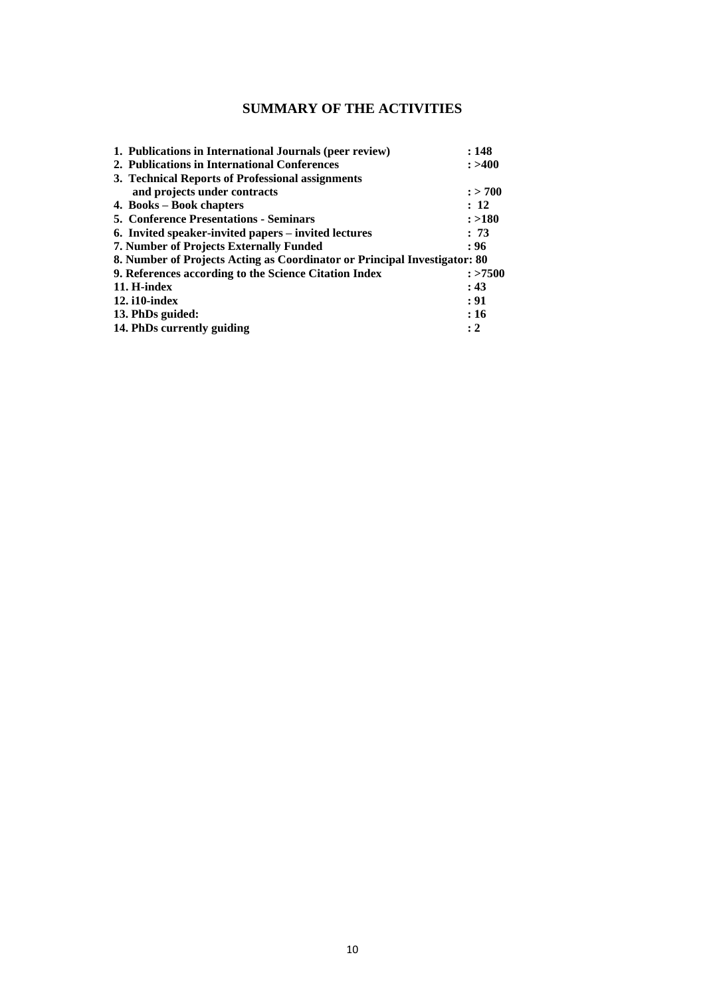# **SUMMARY OF THE ACTIVITIES**

| 1. Publications in International Journals (peer review)                   | : 148     |
|---------------------------------------------------------------------------|-----------|
| 2. Publications in International Conferences                              | : > 400   |
| 3. Technical Reports of Professional assignments                          |           |
| and projects under contracts                                              | $:$ > 700 |
| 4. Books – Book chapters                                                  | : 12      |
| <b>5. Conference Presentations - Seminars</b>                             | : >180    |
| 6. Invited speaker-invited papers – invited lectures                      | : 73      |
| 7. Number of Projects Externally Funded                                   | : 96      |
| 8. Number of Projects Acting as Coordinator or Principal Investigator: 80 |           |
| 9. References according to the Science Citation Index                     | : >7500   |
| 11. H-index                                                               | : 43      |
| $12.$ i $10$ -index                                                       | : 91      |
| 13. PhDs guided:                                                          | :16       |
| 14. PhDs currently guiding                                                | $\cdot$ 2 |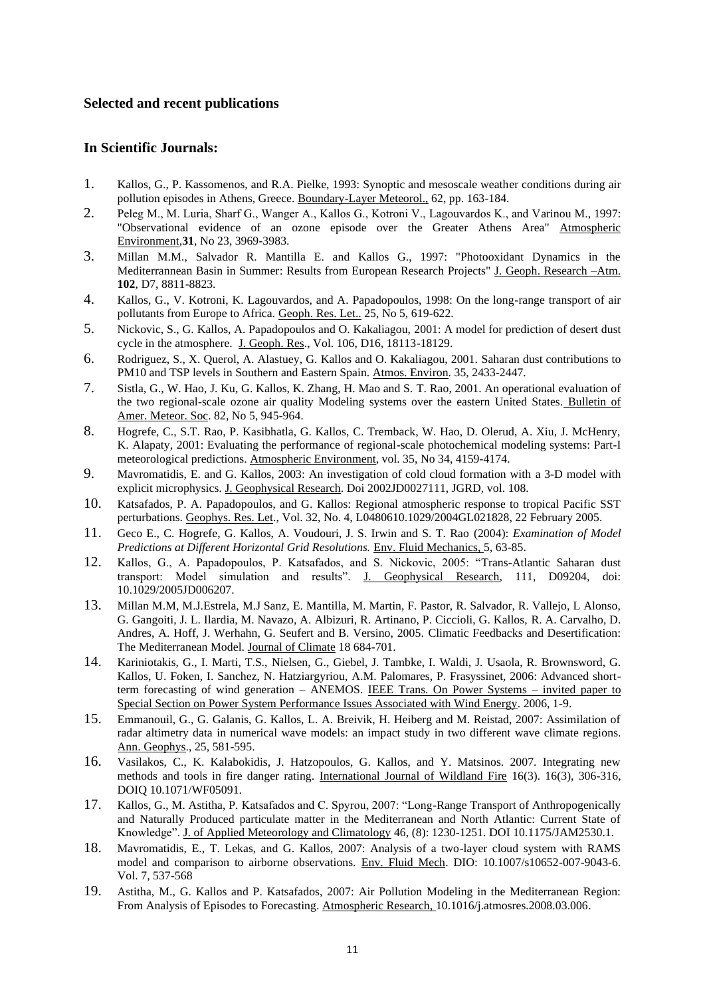### **Selected and recent publications**

# **In Scientific Journals:**

- 1. Kallos, G., P. Kassomenos, and R.A. Pielke, 1993: Synoptic and mesoscale weather conditions during air pollution episodes in Athens, Greece. Boundary-Layer Meteorol., 62, pp. 163-184.
- 2. Peleg M., Μ. Luria, Sharf G., Wanger A., Kallos G., Kotroni V., Lagouvardos K., and Varinou M., 1997: "Observational evidence of an ozone episode over the Greater Athens Area" Atmospheric Environment*,***31**, No 23, 3969-3983.
- 3. Millan M.M., Salvador R. Mantilla E. and Kallos G., 1997: "Photooxidant Dynamics in the Mediterrannean Basin in Summer: Results from European Research Projects" J. Geoph. Research –Atm. **102**, D7, 8811-8823.
- 4. Kallos, G., V. Kotroni, K. Lagouvardos, and A. Papadopoulos, 1998: On the long-range transport of air pollutants from Europe to Africa. Geoph. Res. Let.. 25, No 5, 619-622.
- 5. Nickovic, S., G. Kallos, A. Papadopoulos and O. Kakaliagou, 2001: A model for prediction of desert dust cycle in the atmosphere. J. Geoph. Res., Vol. 106, D16, 18113-18129.
- 6. Rodriguez, S., X. Querol, A. Alastuey, G. Kallos and O. Kakaliagou, 2001. Saharan dust contributions to PM10 and TSP levels in Southern and Eastern Spain. Atmos. Environ. 35, 2433-2447.
- 7. Sistla, G., W. Hao, J. Ku, G. Kallos, K. Zhang, H. Mao and S. T. Rao, 2001. An operational evaluation of the two regional-scale ozone air quality Modeling systems over the eastern United States. Bulletin of Amer. Meteor. Soc. 82, No 5, 945-964.
- 8. Hogrefe, C., S.T. Rao, P. Kasibhatla, G. Kallos, C. Tremback, W. Hao, D. Olerud, A. Xiu, J. McHenry, K. Alapaty, 2001: Evaluating the performance of regional-scale photochemical modeling systems: Part-I meteorological predictions. Atmospheric Environment, vol. 35, No 34, 4159-4174.
- 9. Mavromatidis, E. and G. Kallos, 2003: An investigation of cold cloud formation with a 3-D model with explicit microphysics. J. Geophysical Research. Doi 2002JD0027111, JGRD, vol. 108.
- 10. Katsafados, P. A. Papadopoulos, and G. Kallos: Regional atmospheric response to tropical Pacific SST perturbations. Geophys. Res. Let., Vol. 32, No. 4, L0480610.1029/2004GL021828, 22 February 2005.
- 11. Geco E., C. Hogrefe, G. Kallos, A. Voudouri, J. S. Irwin and S. T. Rao (2004): *Examination of Model Predictions at Different Horizontal Grid Resolutions.* Env. Fluid Mechanics, 5, 63-85.
- 12. Kallos, G., A. Papadopoulos, P. Katsafados, and S. Nickovic, 2005: "Trans-Atlantic Saharan dust transport: Model simulation and results". J. Geophysical Research, 111, D09204, doi: 10.1029/2005JD006207.
- 13. Millan M.M, M.J.Estrela, M.J Sanz, E. Mantilla, M. Martin, F. Pastor, R. Salvador, R. Vallejo, L Alonso, G. Gangoiti, J. L. Ilardia, M. Navazo, A. Albizuri, R. Artinano, P. Ciccioli, G. Kallos, R. A. Carvalho, D. Andres, A. Hoff, J. Werhahn, G. Seufert and B. Versino, 2005. Climatic Feedbacks and Desertification: The Mediterranean Model. Journal of Climate 18 684-701.
- 14. Kariniotakis, G., I. Marti, T.S., Nielsen, G., Giebel, J. Tambke, I. Waldi, J. Usaola, R. Brownsword, G. Kallos, U. Foken, I. Sanchez, N. Hatziargyriou, A.M. Palomares, P. Frasyssinet, 2006: Advanced shortterm forecasting of wind generation - ANEMOS. IEEE Trans. On Power Systems - invited paper to Special Section on Power System Performance Issues Associated with Wind Energy. 2006, 1-9.
- 15. Emmanouil, G., G. Galanis, G. Kallos, L. A. Breivik, H. Heiberg and M. Reistad, 2007: Assimilation of radar altimetry data in numerical wave models: an impact study in two different wave climate regions. Ann. Geophys., 25, 581-595.
- 16. Vasilakos, C., K. Kalabokidis, J. Hatzopoulos, G. Kallos, and Y. Matsinos. 2007. Integrating new methods and tools in fire danger rating. International Journal of Wildland Fire 16(3). 16(3), 306-316, DOIQ 10.1071/WF05091.
- 17. Kallos, G., M. Astitha, P. Katsafados and C. Spyrou, 2007: "Long-Range Transport of Anthropogenically and Naturally Produced particulate matter in the Mediterranean and North Atlantic: Current State of Knowledge". J. of Applied Meteorology and Climatology 46, (8): 1230-1251. DOI 10.1175/JAM2530.1.
- 18. Mavromatidis, E., T. Lekas, and G. Kallos, 2007: Analysis of a two-layer cloud system with RAMS model and comparison to airborne observations. Env. Fluid Mech. DIO: 10.1007/s10652-007-9043-6. Vol. 7, 537-568
- 19. Astitha, M., G. Kallos and P. Katsafados, 2007: Air Pollution Modeling in the Mediterranean Region: From Analysis of Episodes to Forecasting. Atmospheric Research, 10.1016/j.atmosres.2008.03.006.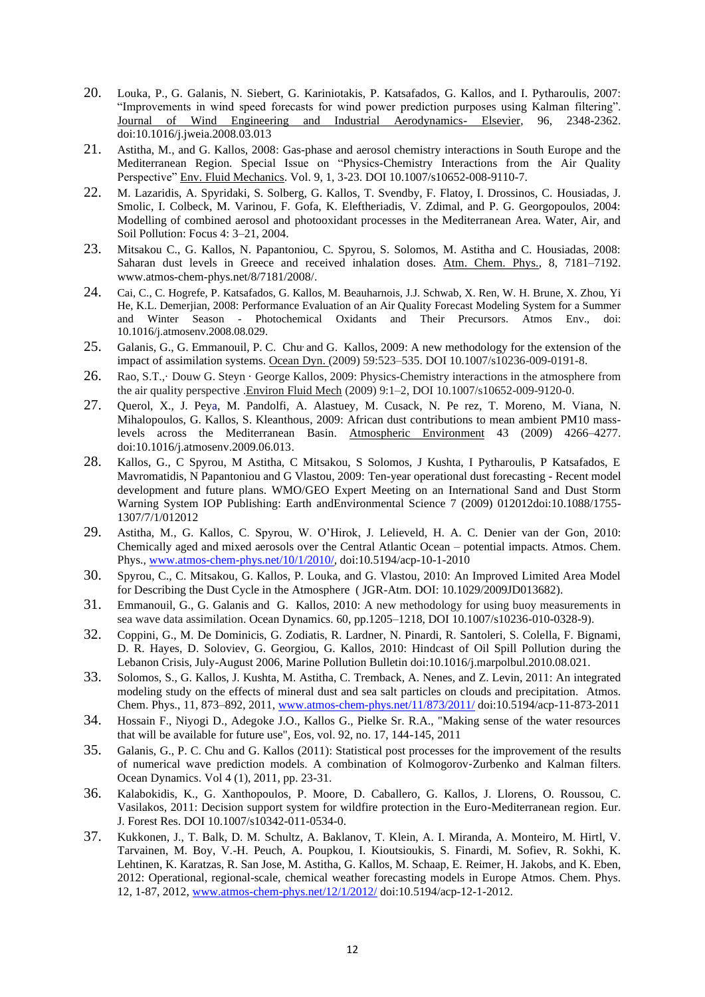- 20. Louka, P., G. Galanis, N. Siebert, G. Kariniotakis, P. Katsafados, G. Kallos, and I. Pytharoulis, 2007: "Improvements in wind speed forecasts for wind power prediction purposes using Kalman filtering". Journal of Wind Engineering and Industrial Aerodynamics- Elsevier, 96, 2348-2362. doi:10.1016/j.jweia.2008.03.013
- 21. Astitha, M., and G. Kallos, 2008: Gas-phase and aerosol chemistry interactions in South Europe and the Mediterranean Region. Special Issue on "Physics-Chemistry Interactions from the Air Quality Perspective" Env. Fluid Mechanics. Vol. 9, 1, 3-23. DOI 10.1007/s10652-008-9110-7.
- 22. M. Lazaridis, A. Spyridaki, S. Solberg, G. Kallos, T. Svendby, F. Flatoy, I. Drossinos, C. Housiadas, J. Smolic, I. Colbeck, M. Varinou, F. Gofa, K. Eleftheriadis, V. Zdimal, and P. G. Georgopoulos, 2004: Modelling of combined aerosol and photooxidant processes in the Mediterranean Area. Water, Air, and Soil Pollution: Focus 4: 3–21, 2004.
- 23. Mitsakou C., G. Kallos, N. Papantoniou, C. Spyrou, S. Solomos, M. Astitha and C. Housiadas, 2008: Saharan dust levels in Greece and received inhalation doses. Atm. Chem. Phys., 8, 7181–7192. www.atmos-chem-phys.net/8/7181/2008/.
- 24. Cai, C., C. Hogrefe, P. Katsafados, G. Kallos, M. Beauharnois, J.J. Schwab, X. Ren, W. H. Brune, X. Zhou, Yi He, K.L. Demerjian, 2008: Performance Evaluation of an Air Quality Forecast Modeling System for a Summer and Winter Season - Photochemical Oxidants and Their Precursors. Atmos Env., doi: 10.1016/j.atmosenv.2008.08.029.
- 25. Galanis, G., G. Emmanouil, P. C. Chu, and G. Kallos, 2009: A new methodology for the extension of the impact of assimilation systems. Ocean Dyn. (2009) 59:523–535. DOI 10.1007/s10236-009-0191-8.
- 26. Rao, S.T.,· Douw G. Steyn · George Kallos, 2009: Physics-Chemistry interactions in the atmosphere from the air quality perspective .Environ Fluid Mech (2009) 9:1–2, DOI 10.1007/s10652-009-9120-0.
- 27. Querol, X., J. Peya, M. Pandolfi, A. Alastuey, M. Cusack, N. Pe rez, T. Moreno, M. Viana, N. Mihalopoulos, G. Kallos, S. Kleanthous, 2009: African dust contributions to mean ambient PM10 masslevels across the Mediterranean Basin. Atmospheric Environment 43 (2009) 4266–4277. doi:10.1016/j.atmosenv.2009.06.013.
- 28. Kallos, G., C Spyrou, M Astitha, C Mitsakou, S Solomos, J Kushta, I Pytharoulis, P Katsafados, E Mavromatidis, N Papantoniou and G Vlastou, 2009: Ten-year operational dust forecasting - Recent model development and future plans. WMO/GEO Expert Meeting on an International Sand and Dust Storm Warning System IOP Publishing: Earth andEnvironmental Science 7 (2009) 012012doi:10.1088/1755- 1307/7/1/012012
- 29. Astitha, M., G. Kallos, C. Spyrou, W. O'Hirok, J. Lelieveld, H. A. C. Denier van der Gon, 2010: Chemically aged and mixed aerosols over the Central Atlantic Ocean – potential impacts. Atmos. Chem. Phys., [www.atmos-chem-phys.net/10/1/2010/,](http://www.atmos-chem-phys.net/10/1/2010/) doi:10.5194/acp-10-1-2010
- 30. Spyrou, C., C. Mitsakou, G. Kallos, P. Louka, and G. Vlastou, 2010: An Improved Limited Area Model for Describing the Dust Cycle in the Atmosphere ( JGR-Atm. DOI: 10.1029/2009JD013682).
- 31. Emmanouil, G., G. Galanis and G. Kallos, 2010: A new methodology for using buoy measurements in sea wave data assimilation. Ocean Dynamics. 60, pp.1205–1218, DOI 10.1007/s10236-010-0328-9).
- 32. Coppini, G., M. De Dominicis, G. Zodiatis, R. Lardner, N. Pinardi, R. Santoleri, S. Colella, F. Bignami, D. R. Hayes, D. Soloviev, G. Georgiou, G. Kallos, 2010: Hindcast of Oil Spill Pollution during the Lebanon Crisis, July-August 2006, Marine Pollution Bulletin doi:10.1016/j.marpolbul.2010.08.021.
- 33. Solomos, S., G. Kallos, J. Kushta, M. Astitha, C. Tremback, A. Nenes, and Z. Levin, 2011: An integrated modeling study on the effects of mineral dust and sea salt particles on clouds and precipitation. Atmos. Chem. Phys., 11, 873–892, 2011, [www.atmos-chem-phys.net/11/873/2011/](http://www.atmos-chem-phys.net/11/873/2011/) doi:10.5194/acp-11-873-2011
- 34. Hossain F., Niyogi D., Adegoke J.O., Kallos G., Pielke Sr. R.A., "Making sense of the water resources that will be available for future use", Eos, vol. 92, no. 17, 144-145, 2011
- 35. Galanis, G., P. C. Chu and G. Kallos (2011): Statistical post processes for the improvement of the results of numerical wave prediction models. A combination of Kolmogorov‐Zurbenko and Kalman filters. Ocean Dynamics. Vol 4 (1), 2011, pp. 23-31.
- 36. Kalabokidis, K., G. Xanthopoulos, P. Moore, D. Caballero, G. Kallos, J. Llorens, O. Roussou, C. Vasilakos, 2011: Decision support system for wildfire protection in the Euro-Mediterranean region. Eur. J. Forest Res. DOI 10.1007/s10342-011-0534-0.
- 37. Kukkonen, J., T. Balk, D. M. Schultz, A. Baklanov, T. Klein, A. I. Miranda, A. Monteiro, M. Hirtl, V. Tarvainen, M. Boy, V.-H. Peuch, A. Poupkou, I. Kioutsioukis, S. Finardi, M. Sofiev, R. Sokhi, K. Lehtinen, K. Karatzas, R. San Jose, M. Astitha, G. Kallos, M. Schaap, E. Reimer, H. Jakobs, and K. Eben, 2012: Operational, regional-scale, chemical weather forecasting models in Europe Atmos. Chem. Phys. 12, 1-87, 2012[, www.atmos-chem-phys.net/12/1/2012/](http://www.atmos-chem-phys.net/12/1/2012/) doi:10.5194/acp-12-1-2012.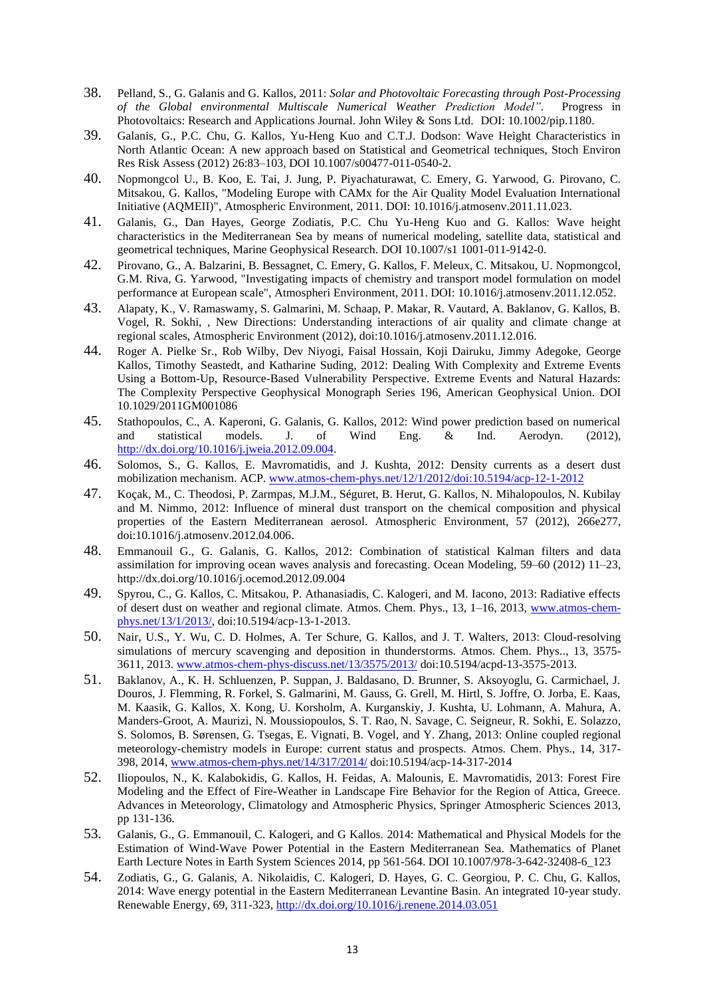- 38. Pelland, S., G. Galanis and G. Kallos, 2011: *Solar and Photovoltaic Forecasting through Post-Processing of the Global environmental Multiscale Numerical Weather Prediction Model".* Progress in Photovoltaics: Research and Applications Journal. John Wiley & Sons Ltd. DOI: 10.1002/pip.1180.
- 39. Galanis, G., P.C. Chu, G. Kallos, Yu-Heng Kuo and C.T.J. Dodson: Wave Height Characteristics in North Atlantic Ocean: A new approach based on Statistical and Geometrical techniques, Stoch Environ Res Risk Assess (2012) 26:83–103, DOI 10.1007/s00477-011-0540-2.
- 40. Nopmongcol U., B. Koo, E. Tai, J. Jung, P. Piyachaturawat, C. Emery, G. Yarwood, G. Pirovano, C. Mitsakou, G. Kallos, "Modeling Europe with CAMx for the Air Quality Model Evaluation International Initiative (AQMEII)", Atmospheric Environment, 2011. DOI: 10.1016/j.atmosenv.2011.11.023.
- 41. Galanis, G., Dan Hayes, George Zodiatis, P.C. Chu Yu-Heng Kuo and G. Kallos: Wave height characteristics in the Mediterranean Sea by means of numerical modeling, satellite data, statistical and geometrical techniques, Marine Geophysical Research. DOI 10.1007/s1 1001-011-9142-0.
- 42. Pirovano, G., A. Balzarini, B. Bessagnet, C. Emery, G. Kallos, F. Meleux, C. Mitsakou, U. Nopmongcol, G.M. Riva, G. Yarwood, "Investigating impacts of chemistry and transport model formulation on model performance at European scale", Atmospheri Environment, 2011. DOI: 10.1016/j.atmosenv.2011.12.052.
- 43. Alapaty, K., V. Ramaswamy, S. Galmarini, M. Schaap, P. Makar, R. Vautard, A. Baklanov, G. Kallos, B. Vogel, R. Sokhi, , New Directions: Understanding interactions of air quality and climate change at regional scales, Atmospheric Environment (2012), doi:10.1016/j.atmosenv.2011.12.016.
- 44. Roger A. Pielke Sr., Rob Wilby, Dev Niyogi, Faisal Hossain, Koji Dairuku, Jimmy Adegoke, George Kallos, Timothy Seastedt, and Katharine Suding, 2012: Dealing With Complexity and Extreme Events Using a Bottom-Up, Resource-Based Vulnerability Perspective. Extreme Events and Natural Hazards: The Complexity Perspective Geophysical Monograph Series 196, American Geophysical Union. DOI 10.1029/2011GM001086
- 45. Stathopoulos, C., A. Kaperoni, G. Galanis, G. Kallos, 2012: Wind power prediction based on numerical and statistical models. J. of Wind Eng. & Ind. Aerodyn. (2012), [http://dx.doi.org/10.1016/j.jweia.2012.09.004.](http://dx.doi.org/10.1016/j.jweia.2012.09.004)
- 46. Solomos, S., G. Kallos, E. Mavromatidis, and J. Kushta, 2012: Density currents as a desert dust mobilization mechanism. ACP. [www.atmos-chem-phys.net/12/1/2012/doi:10.5194/acp-12-1-2012](http://www.atmos-chem-phys.net/12/1/2012/doi:10.5194/acp-12-1-2012)
- 47. Koçak, M., C. Theodosi, P. Zarmpas, M.J.M., Séguret, B. Herut, G. Kallos, N. Mihalopoulos, N. Kubilay and M. Nimmo, 2012: Influence of mineral dust transport on the chemical composition and physical properties of the Eastern Mediterranean aerosol. Atmospheric Environment, 57 (2012), 266e277, doi:10.1016/j.atmosenv.2012.04.006.
- 48. Emmanouil G., G. Galanis, G. Kallos, 2012: Combination of statistical Kalman filters and data assimilation for improving ocean waves analysis and forecasting. Ocean Modeling, 59–60 (2012) 11–23, http://dx.doi.org/10.1016/j.ocemod.2012.09.004
- 49. Spyrou, C., G. Kallos, C. Mitsakou, P. Athanasiadis, C. Kalogeri, and M. Iacono, 2013: Radiative effects of desert dust on weather and regional climate. Atmos. Chem. Phys., 13, 1–16, 2013, [www.atmos-chem](http://www.atmos-chem-phys.net/13/1/2013/)[phys.net/13/1/2013/,](http://www.atmos-chem-phys.net/13/1/2013/) doi:10.5194/acp-13-1-2013.
- 50. Nair, U.S., Y. Wu, C. D. Holmes, A. Ter Schure, G. Kallos, and J. T. Walters, 2013: Cloud-resolving simulations of mercury scavenging and deposition in thunderstorms. Atmos. Chem. Phys.., 13, 3575- 3611, 2013. [www.atmos-chem-phys-discuss.net/13/3575/2013/](http://www.atmos-chem-phys-discuss.net/13/3575/2013/) doi:10.5194/acpd-13-3575-2013.
- 51. Baklanov, A., K. H. Schluenzen, P. Suppan, J. Baldasano, D. Brunner, S. Aksoyoglu, G. Carmichael, J. Douros, J. Flemming, R. Forkel, S. Galmarini, M. Gauss, G. Grell, M. Hirtl, S. Joffre, O. Jorba, E. Kaas, M. Kaasik, G. Kallos, X. Kong, U. Korsholm, A. Kurganskiy, J. Kushta, U. Lohmann, A. Mahura, A. Manders-Groot, A. Maurizi, N. Moussiopoulos, S. T. Rao, N. Savage, C. Seigneur, R. Sokhi, E. Solazzo, S. Solomos, B. Sørensen, G. Tsegas, E. Vignati, B. Vogel, and Y. Zhang, 2013: Online coupled regional meteorology-chemistry models in Europe: current status and prospects. Atmos. Chem. Phys., 14, 317- 398, 2014, [www.atmos-chem-phys.net/14/317/2014/](http://www.atmos-chem-phys.net/14/317/2014/) doi:10.5194/acp-14-317-2014
- 52. Iliopoulos, N., K. Kalabokidis, G. Kallos, H. Feidas, A. Malounis, E. Mavromatidis, 2013: Forest Fire Modeling and the Effect of Fire-Weather in Landscape Fire Behavior for the Region of Attica, Greece. Advances in Meteorology, Climatology and Atmospheric Physics, Springer Atmospheric Sciences 2013, pp 131-136.
- 53. Galanis, G., G. Emmanouil, C. Kalogeri, and G Kallos. 2014: Mathematical and Physical Models for the Estimation of Wind-Wave Power Potential in the Eastern Mediterranean Sea. Mathematics of Planet Earth Lecture Notes in Earth System Sciences 2014, pp 561-564. DOI 10.1007/978-3-642-32408-6\_123
- 54. Zodiatis, G., G. Galanis, A. Nikolaidis, C. Kalogeri, D. Hayes, G. C. Georgiou, P. C. Chu, G. Kallos, 2014: Wave energy potential in the Eastern Mediterranean Levantine Basin. An integrated 10-year study. Renewable Energy, 69, 311-323,<http://dx.doi.org/10.1016/j.renene.2014.03.051>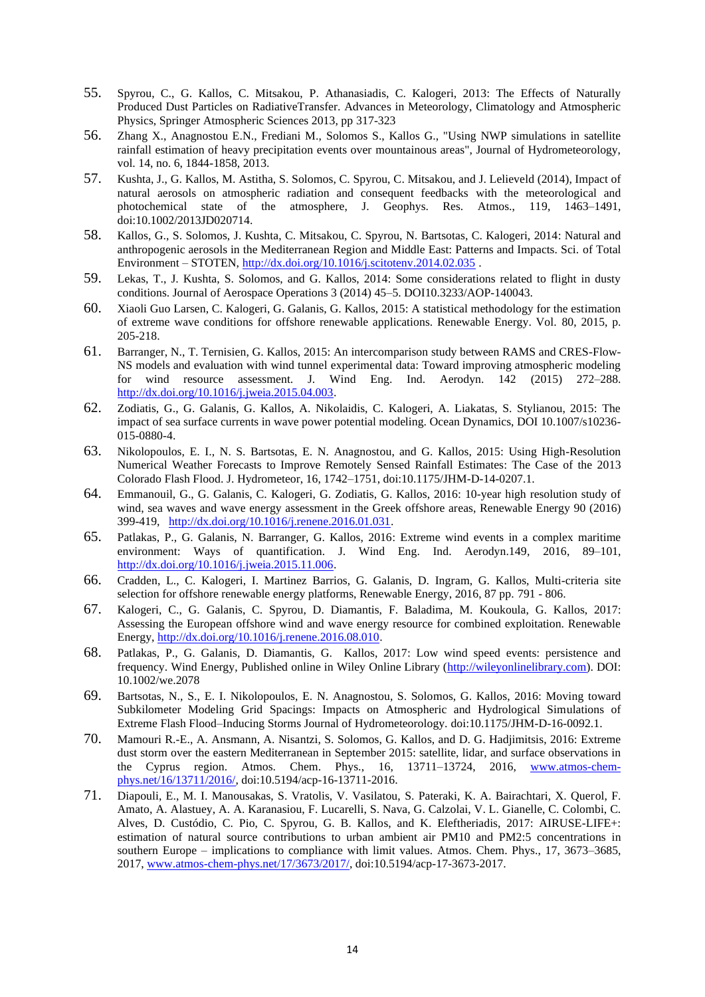- 55. Spyrou, C., G. Kallos, C. Mitsakou, P. Athanasiadis, C. Kalogeri, 2013: The Effects of Naturally Produced Dust Particles on RadiativeTransfer. Advances in Meteorology, Climatology and Atmospheric Physics, Springer Atmospheric Sciences 2013, pp 317-323
- 56. Zhang X., Anagnostou E.N., Frediani M., Solomos S., Kallos G., "Using NWP simulations in satellite rainfall estimation of heavy precipitation events over mountainous areas", Journal of Hydrometeorology, vol. 14, no. 6, 1844-1858, 2013.
- 57. Kushta, J., G. Kallos, M. Astitha, S. Solomos, C. Spyrou, C. Mitsakou, and J. Lelieveld (2014), Impact of natural aerosols on atmospheric radiation and consequent feedbacks with the meteorological and photochemical state of the atmosphere, J. Geophys. Res. Atmos., 119, 1463–1491, doi:10.1002/2013JD020714.
- 58. Kallos, G., S. Solomos, J. Kushta, C. Mitsakou, C. Spyrou, N. Bartsotas, C. Kalogeri, 2014: Natural and anthropogenic aerosols in the Mediterranean Region and Middle East: Patterns and Impacts. Sci. of Total Environment – STOTEN[, http://dx.doi.org/10.1016/j.scitotenv.2014.02.035](http://dx.doi.org/10.1016/j.scitotenv.2014.02.035) .
- 59. Lekas, T., J. Kushta, S. Solomos, and G. Kallos, 2014: Some considerations related to flight in dusty conditions. Journal of Aerospace Operations 3 (2014) 45–5. DOI10.3233/AOP-140043.
- 60. Xiaoli Guo Larsen, C. Kalogeri, G. Galanis, G. Kallos, 2015: A statistical methodology for the estimation of extreme wave conditions for offshore renewable applications. Renewable Energy. Vol. 80, 2015, p. 205-218.
- 61. Barranger, N., T. Ternisien, G. Kallos, 2015: An intercomparison study between RAMS and CRES-Flow-NS models and evaluation with wind tunnel experimental data: Toward improving atmospheric modeling for wind resource assessment. J. Wind Eng. Ind. Aerodyn. 142 (2015) 272–288. [http://dx.doi.org/10.1016/j.jweia.2015.04.003.](http://dx.doi.org/10.1016/j.jweia.2015.04.003)
- 62. Zodiatis, G., G. Galanis, G. Kallos, A. Nikolaidis, C. Kalogeri, A. Liakatas, S. Stylianou, 2015: The impact of sea surface currents in wave power potential modeling. Ocean Dynamics, DOI 10.1007/s10236- 015-0880-4.
- 63. Nikolopoulos, E. I., N. S. Bartsotas, E. N. Anagnostou, and G. Kallos, 2015: Using High-Resolution Numerical Weather Forecasts to Improve Remotely Sensed Rainfall Estimates: The Case of the 2013 Colorado Flash Flood. J. Hydrometeor, 16, 1742–1751, doi:10.1175/JHM-D-14-0207.1.
- 64. Emmanouil, G., G. Galanis, C. Kalogeri, G. Zodiatis, G. Kallos, 2016: 10-year high resolution study of wind, sea waves and wave energy assessment in the Greek offshore areas, Renewable Energy 90 (2016) 399-419, [http://dx.doi.org/10.1016/j.renene.2016.01.031.](http://dx.doi.org/10.1016/j.renene.2016.01.031)
- 65. Patlakas, P., G. Galanis, N. Barranger, G. Kallos, 2016: Extreme wind events in a complex maritime environment: Ways of quantification. J. Wind Eng. Ind. Aerodyn.149, 2016, 89–101, [http://dx.doi.org/10.1016/j.jweia.2015.11.006.](http://dx.doi.org/10.1016/j.jweia.2015.11.006)
- 66. Cradden, L., C. Kalogeri, I. Martinez Barrios, G. Galanis, D. Ingram, G. Kallos, Multi-criteria site selection for offshore renewable energy platforms, Renewable Energy, 2016, 87 pp. 791 - 806.
- 67. Kalogeri, C., G. Galanis, C. Spyrou, D. Diamantis, F. Baladima, M. Koukoula, G. Kallos, 2017: Assessing the European offshore wind and wave energy resource for combined exploitation. Renewable Energy, [http://dx.doi.org/10.1016/j.renene.2016.08.010.](http://dx.doi.org/10.1016/j.renene.2016.08.010)
- 68. Patlakas, P., G. Galanis, D. Diamantis, G. Kallos, 2017: Low wind speed events: persistence and frequency. Wind Energy, Published online in Wiley Online Library [\(http://wileyonlinelibrary.com\)](http://wileyonlinelibrary.com/). DOI: 10.1002/we.2078
- 69. Bartsotas, N., S., E. I. Nikolopoulos, E. N. Anagnostou, S. Solomos, G. Kallos, 2016: Moving toward Subkilometer Modeling Grid Spacings: Impacts on Atmospheric and Hydrological Simulations of Extreme Flash Flood–Inducing Storms Journal of Hydrometeorology. doi:10.1175/JHM-D-16-0092.1.
- 70. Mamouri R.-E., A. Ansmann, A. Nisantzi, S. Solomos, G. Kallos, and D. G. Hadjimitsis, 2016: Extreme dust storm over the eastern Mediterranean in September 2015: satellite, lidar, and surface observations in the Cyprus region. Atmos. Chem. Phys., 16, 13711–13724, 2016, [www.atmos-chem](http://www.atmos-chem-phys.net/16/13711/2016/)[phys.net/16/13711/2016/,](http://www.atmos-chem-phys.net/16/13711/2016/) doi:10.5194/acp-16-13711-2016.
- 71. Diapouli, E., M. I. Manousakas, S. Vratolis, V. Vasilatou, S. Pateraki, K. A. Bairachtari, X. Querol, F. Amato, A. Alastuey, A. A. Karanasiou, F. Lucarelli, S. Nava, G. Calzolai, V. L. Gianelle, C. Colombi, C. Alves, D. Custódio, C. Pio, C. Spyrou, G. B. Kallos, and K. Eleftheriadis, 2017: AIRUSE-LIFE+: estimation of natural source contributions to urban ambient air PM10 and PM2:5 concentrations in southern Europe – implications to compliance with limit values. Atmos. Chem. Phys., 17, 3673–3685, 2017, [www.atmos-chem-phys.net/17/3673/2017/,](http://www.atmos-chem-phys.net/17/3673/2017/) doi:10.5194/acp-17-3673-2017.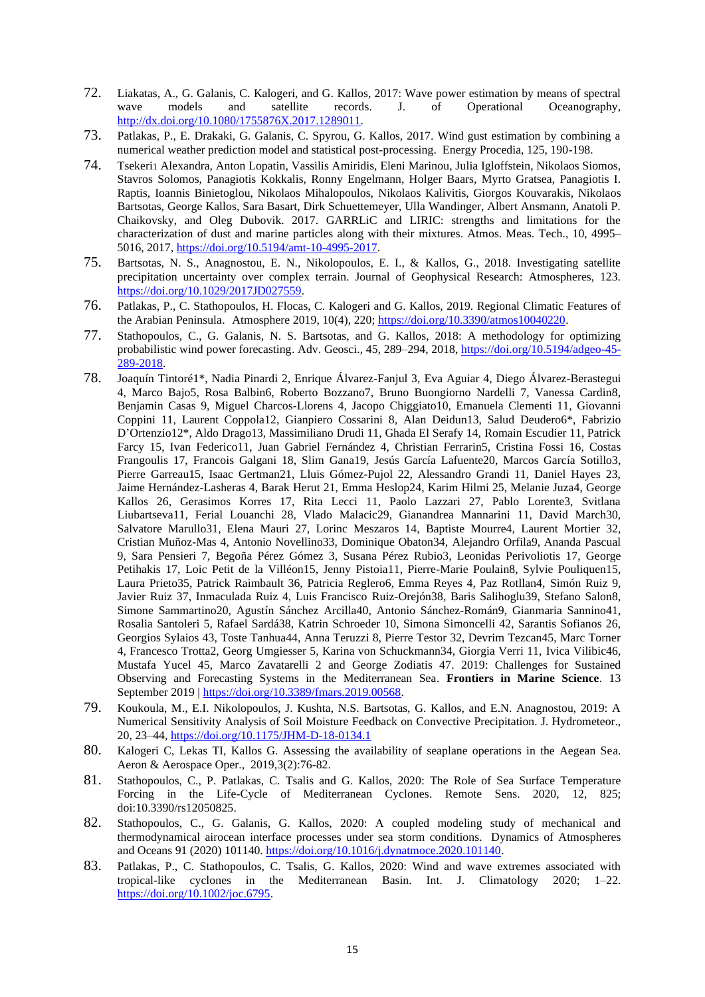- 72. Liakatas, A., G. Galanis, C. Kalogeri, and G. Kallos, 2017: Wave power estimation by means of spectral wave models and satellite records. J. of Operational Oceanography, [http://dx.doi.org/10.1080/1755876X.2017.1289011.](http://dx.doi.org/10.1080/1755876X.2017.1289011)
- 73. Patlakas, P., E. Drakaki, G. Galanis, C. Spyrou, G. Kallos, 2017. Wind gust estimation by combining a numerical weather prediction model and statistical post-processing. Energy Procedia, 125, 190-198.
- 74. Tsekeri<sup>1</sup> Alexandra, Anton Lopatin, Vassilis Amiridis, Eleni Marinou, Julia Igloffstein, Nikolaos Siomos, Stavros Solomos, Panagiotis Kokkalis, Ronny Engelmann, Holger Baars, Myrto Gratsea, Panagiotis I. Raptis, Ioannis Binietoglou, Nikolaos Mihalopoulos, Nikolaos Kalivitis, Giorgos Kouvarakis, Nikolaos Bartsotas, George Kallos, Sara Basart, Dirk Schuettemeyer, Ulla Wandinger, Albert Ansmann, Anatoli P. Chaikovsky, and Oleg Dubovik. 2017. GARRLiC and LIRIC: strengths and limitations for the characterization of dust and marine particles along with their mixtures. Atmos. Meas. Tech., 10, 4995– 5016, 2017, [https://doi.org/10.5194/amt-10-4995-2017.](https://doi.org/10.5194/amt-10-4995-2017)
- 75. Bartsotas, N. S., Anagnostou, E. N., Nikolopoulos, E. I., & Kallos, G., 2018. Investigating satellite precipitation uncertainty over complex terrain. Journal of Geophysical Research: Atmospheres, 123. [https://doi.org/10.1029/2017JD027559.](https://doi.org/10.1029/2017JD027559)
- 76. Patlakas, P., C. Stathopoulos, H. Flocas, C. Kalogeri and G. Kallos, 2019. Regional Climatic Features of the Arabian Peninsula. Atmosphere 2019, 10(4), 220; [https://doi.org/10.3390/atmos10040220.](https://doi.org/10.3390/atmos10040220)
- 77. Stathopoulos, C., G. Galanis, N. S. Bartsotas, and G. Kallos, 2018: A methodology for optimizing probabilistic wind power forecasting. Adv. Geosci., 45, 289–294, 2018[, https://doi.org/10.5194/adgeo-45-](https://doi.org/10.5194/adgeo-45-289-2018) [289-2018.](https://doi.org/10.5194/adgeo-45-289-2018)
- 78. Joaquín Tintoré1\*, Nadia Pinardi 2, Enrique Álvarez-Fanjul 3, Eva Aguiar 4, Diego Álvarez-Berastegui 4, Marco Bajo5, Rosa Balbin6, Roberto Bozzano7, Bruno Buongiorno Nardelli 7, Vanessa Cardin8, Benjamin Casas 9, Miguel Charcos-Llorens 4, Jacopo Chiggiato10, Emanuela Clementi 11, Giovanni Coppini 11, Laurent Coppola12, Gianpiero Cossarini 8, Alan Deidun13, Salud Deudero6\*, Fabrizio D'Ortenzio12\*, Aldo Drago13, Massimiliano Drudi 11, Ghada El Serafy 14, Romain Escudier 11, Patrick Farcy 15, Ivan Federico11, Juan Gabriel Fernández 4, Christian Ferrarin5, Cristina Fossi 16, Costas Frangoulis 17, Francois Galgani 18, Slim Gana19, Jesús García Lafuente20, Marcos García Sotillo3, Pierre Garreau15, Isaac Gertman21, Lluis Gómez-Pujol 22, Alessandro Grandi 11, Daniel Hayes 23, Jaime Hernández-Lasheras 4, Barak Herut 21, Emma Heslop24, Karim Hilmi 25, Melanie Juza4, George Kallos 26, Gerasimos Korres 17, Rita Lecci 11, Paolo Lazzari 27, Pablo Lorente3, Svitlana Liubartseva11, Ferial Louanchi 28, Vlado Malacic29, Gianandrea Mannarini 11, David March30, Salvatore Marullo31, Elena Mauri 27, Lorinc Meszaros 14, Baptiste Mourre4, Laurent Mortier 32, Cristian Muñoz-Mas 4, Antonio Novellino33, Dominique Obaton34, Alejandro Orfila9, Ananda Pascual 9, Sara Pensieri 7, Begoña Pérez Gómez 3, Susana Pérez Rubio3, Leonidas Perivoliotis 17, George Petihakis 17, Loic Petit de la Villéon15, Jenny Pistoia11, Pierre-Marie Poulain8, Sylvie Pouliquen15, Laura Prieto35, Patrick Raimbault 36, Patricia Reglero6, Emma Reyes 4, Paz Rotllan4, Simón Ruiz 9, Javier Ruiz 37, Inmaculada Ruiz 4, Luis Francisco Ruiz-Orejón38, Baris Salihoglu39, Stefano Salon8, Simone Sammartino20, Agustín Sánchez Arcilla40, Antonio Sánchez-Román9, Gianmaria Sannino41, Rosalia Santoleri 5, Rafael Sardá38, Katrin Schroeder 10, Simona Simoncelli 42, Sarantis Sofianos 26, Georgios Sylaios 43, Toste Tanhua44, Anna Teruzzi 8, Pierre Testor 32, Devrim Tezcan45, Marc Torner 4, Francesco Trotta2, Georg Umgiesser 5, Karina von Schuckmann34, Giorgia Verri 11, Ivica Vilibic46, Mustafa Yucel 45, Marco Zavatarelli 2 and George Zodiatis 47. 2019: Challenges for Sustained Observing and Forecasting Systems in the Mediterranean Sea. **Frontiers in Marine Science**. 13 September 2019 | [https://doi.org/10.3389/fmars.2019.00568.](https://doi.org/10.3389/fmars.2019.00568)
- 79. Koukoula, M., E.I. Nikolopoulos, J. Kushta, N.S. Bartsotas, G. Kallos, and E.N. Anagnostou, 2019: A Numerical Sensitivity Analysis of Soil Moisture Feedback on Convective Precipitation. J. Hydrometeor., 20, 23–44,<https://doi.org/10.1175/JHM-D-18-0134.1>
- 80. Kalogeri C, Lekas TI, Kallos G. Assessing the availability of seaplane operations in the Aegean Sea. Aeron & Aerospace Oper., 2019,3(2):76-82.
- 81. Stathopoulos, C., P. Patlakas, C. Tsalis and G. Kallos, 2020: The Role of Sea Surface Temperature Forcing in the Life-Cycle of Mediterranean Cyclones. Remote Sens. 2020, 12, 825; doi:10.3390/rs12050825.
- 82. Stathopoulos, C., G. Galanis, G. Kallos, 2020: A coupled modeling study of mechanical and thermodynamical airocean interface processes under sea storm conditions. Dynamics of Atmospheres and Oceans 91 (2020) 101140[. https://doi.org/10.1016/j.dynatmoce.2020.101140.](https://doi.org/10.1016/j.dynatmoce.2020.101140)
- 83. Patlakas, P., C. Stathopoulos, C. Tsalis, G. Kallos, 2020: Wind and wave extremes associated with tropical-like cyclones in the Mediterranean Basin. Int. J. Climatology 2020; 1–22. [https://doi.org/10.1002/joc.6795.](https://doi.org/10.1002/joc.6795)